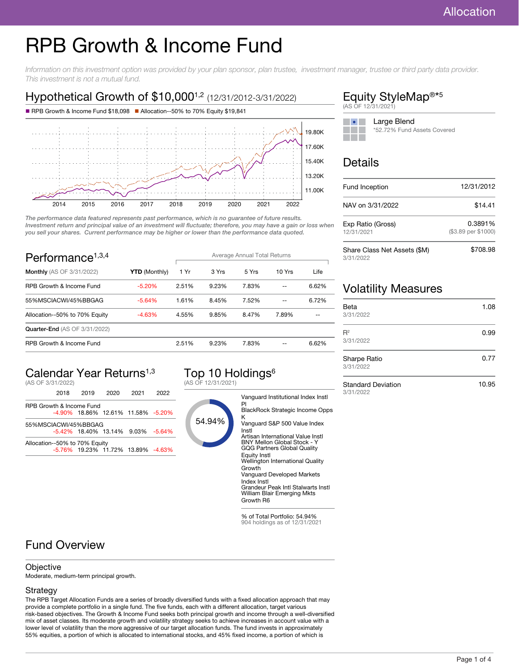# RPB Growth & Income Fund

Information on this investment option was provided by your plan sponsor, plan trustee, investment manager, trustee or third party data provider. This investment is not a mutual fund.

# Hypothetical Growth of \$10,000<sup>1,2</sup> (12/31/2012-3/31/2022)



The performance data featured represents past performance, which is no guarantee of future results. Investment return and principal value of an investment will fluctuate; therefore, you may have a gain or loss when you sell your shares. Current performance may be higher or lower than the performance data quoted.

| Performance <sup><math>1,3,4</math></sup> |                      | Average Annual Total Returns |       |       |        |       |
|-------------------------------------------|----------------------|------------------------------|-------|-------|--------|-------|
| <b>Monthly</b> (AS OF 3/31/2022)          | <b>YTD</b> (Monthly) | 1 Yr                         | 3 Yrs | 5 Yrs | 10 Yrs | Life  |
| RPB Growth & Income Fund                  | $-5.20%$             | 2.51%                        | 9.23% | 7.83% |        | 6.62% |
| 55%MSCIACWI/45%BBGAG                      | $-5.64%$             | 1.61%                        | 8.45% | 7.52% | --     | 6.72% |
| Allocation--50% to 70% Equity             | $-4.63%$             | 4.55%                        | 9.85% | 8.47% | 7.89%  |       |
| <b>Quarter-End (AS OF 3/31/2022)</b>      |                      |                              |       |       |        |       |
| RPB Growth & Income Fund                  |                      | 2.51%                        | 9.23% | 7.83% |        | 6.62% |

# Calendar Year Returns<sup>1,3</sup>

(AS OF 3/31/2022)

|                               | 2018                     | 2019 | 2020 | 2021                               | 2022 |
|-------------------------------|--------------------------|------|------|------------------------------------|------|
|                               | RPB Growth & Income Fund |      |      |                                    |      |
|                               |                          |      |      | -4.90% 18.86% 12.61% 11.58% -5.20% |      |
| 55%MSCIACWI/45%BBGAG          |                          |      |      |                                    |      |
|                               |                          |      |      | -5.42% 18.40% 13.14% 9.03% -5.64%  |      |
| Allocation--50% to 70% Equity |                          |      |      |                                    |      |
|                               |                          |      |      | -5.76% 19.23% 11.72% 13.89% -4.63% |      |

#### Top 10 Holdings<sup>6</sup> (AS OF 12/31/2021)

54.94% Vanguard Institutional Index Instl Pl BlackRock Strategic Income Opps K Vanguard S&P 500 Value Index Instl Artisan International Value Instl BNY Mellon Global Stock - Y GQG Partners Global Quality Equity Instl Wellington International Quality Growth Vanguard Developed Markets Index Instl Grandeur Peak Intl Stalwarts Instl William Blair Emerging Mkts Growth R6

> % of Total Portfolio: 54.94% 904 holdings as of 12/31/2021

# Fund Overview

#### **Objective**

Moderate, medium-term principal growth.

#### Strategy

The RPB Target Allocation Funds are a series of broadly diversified funds with a fixed allocation approach that may provide a complete portfolio in a single fund. The five funds, each with a different allocation, target various risk-based objectives. The Growth & Income Fund seeks both principal growth and income through a well-diversified mix of asset classes. Its moderate growth and volatility strategy seeks to achieve increases in account value with a lower level of volatility than the more aggressive of our target allocation funds. The fund invests in approximately 55% equities, a portion of which is allocated to international stocks, and 45% fixed income, a portion of which is

### Equity StyleMap<sup>®\*5</sup> (AS OF 12/31/2021)

| Large Blend                 |
|-----------------------------|
| *52.72% Fund Assets Covered |
|                             |

# Details

| Fund Inception                            | 12/31/2012                     |  |  |
|-------------------------------------------|--------------------------------|--|--|
| NAV on 3/31/2022                          | \$14.41                        |  |  |
| Exp Ratio (Gross)<br>12/31/2021           | 0.3891%<br>(\$3.89 per \$1000) |  |  |
| Share Class Net Assets (\$M)<br>3/31/2022 | \$708.98                       |  |  |

# Volatility Measures

| Beta<br>3/31/2022                | 1.08 |
|----------------------------------|------|
| $R^2$<br>3/31/2022               | 0.99 |
| <b>Sharpe Ratio</b><br>3/31/2022 | 0.77 |

Standard Deviation 3/31/2022

10.95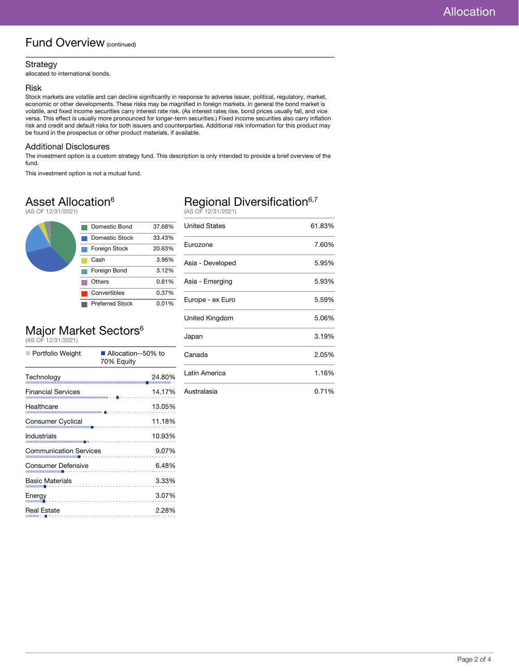### Fund Overview (continued)

#### Strategy

allocated to international bonds.

#### Risk

Stock markets are volatile and can decline significantly in response to adverse issuer, political, regulatory, market, economic or other developments. These risks may be magnified in foreign markets. In general the bond market is volatile, and fixed income securities carry interest rate risk. (As interest rates rise, bond prices usually fall, and vice versa. This effect is usually more pronounced for longer-term securities.) Fixed income securities also carry inflation risk and credit and default risks for both issuers and counterparties. Additional risk information for this product may be found in the prospectus or other product materials, if available.

#### Additional Disclosures

The investment option is a custom strategy fund. This description is only intended to provide a brief overview of the fund.

This investment option is not a mutual fund.

# Asset Allocation<sup>6</sup>

(AS OF 12/31/2021)



# Major Market Sectors<sup>6</sup>

(AS OF 12/31/2021)

| ■ Portfolio Weight                                 | Allocation--50% to<br>70% Equity                             |  |  |
|----------------------------------------------------|--------------------------------------------------------------|--|--|
| Technology                                         | 24.80%<br>.                                                  |  |  |
| <b>Financial Services</b>                          | 14.17%                                                       |  |  |
| Healthcare                                         | 13.05%<br>.<br>.                                             |  |  |
| Consumer Cyclical                                  | 11.18%<br>noal<br> ------ <mark> </mark> ------------------- |  |  |
| Industrials                                        | 10.93%<br>.                                                  |  |  |
| <b>Communication Services</b>                      | 9.07%<br>.                                                   |  |  |
| Consumer Defensive                                 | 6.48%                                                        |  |  |
| <b>Basic Materials</b><br><b>State State State</b> | 3.33%                                                        |  |  |
| Energy<br>. <b>.</b>                               | 3.07%                                                        |  |  |
| <b>Real Estate</b>                                 | 2.28%                                                        |  |  |

# Regional Diversification<sup>6,7</sup>

(AS OF 12/31/2021)

| <b>United States</b> | 61.83% |
|----------------------|--------|
| Eurozone             | 7.60%  |
| Asia - Developed     | 5.95%  |
| Asia - Emerging      | 5.93%  |
| Europe - ex Euro     | 5.59%  |
| United Kingdom       | 5.06%  |
| Japan                | 3.19%  |
| Canada               | 2.05%  |
| Latin America        | 1.16%  |
| Australasia          | 0.71%  |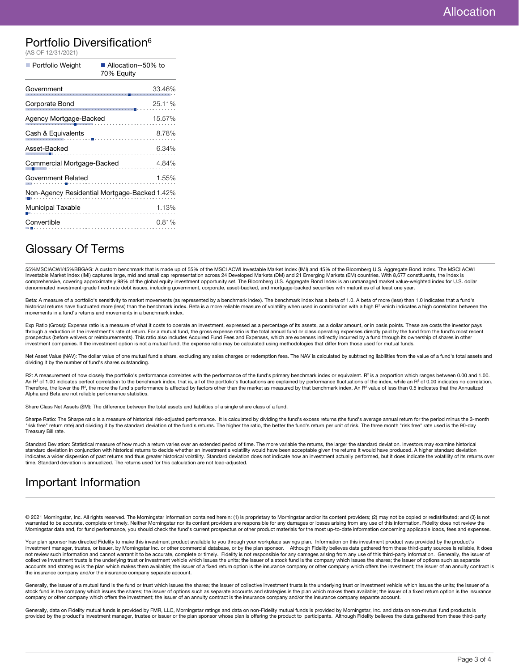### Portfolio Diversification<sup>6</sup>

| (AS OF 12/31/2021)                           |                                    |  |
|----------------------------------------------|------------------------------------|--|
| Portfolio Weight                             | ■ Allocation--50% to<br>70% Equity |  |
| Government                                   | 33.46%                             |  |
| Corporate Bond                               | 25.11%                             |  |
| Agency Mortgage-Backed                       | 15.57%                             |  |
| Cash & Equivalents                           | 8.78%                              |  |
| Asset-Backed                                 | 6.34%                              |  |
| Commercial Mortgage-Backed<br>4.84%          |                                    |  |
| 1.55%<br>Government Related                  |                                    |  |
| Non-Agency Residential Mortgage-Backed 1.42% |                                    |  |
| <b>Municipal Taxable</b>                     | 1.13%                              |  |
| Convertible                                  | 0.81%                              |  |

### Glossary Of Terms

55%MSCIACWI/45%BBGAG: A custom benchmark that is made up of 55% of the MSCI ACWI Investable Market Index (IMI) and 45% of the Bloomberg U.S. Aggregate Bond Index. The MSCI ACWI<br>Investable Market Index (IMI) captures large, comprehensive, covering approximately 98% of the global equity investment opportunity set. The Bloomberg U.S. Aggregate Bond Index is an unmanaged market value-weighted index for U.S. dollar denominated investment-grade fixed-rate debt issues, including government, corporate, asset-backed, and mortgage-backed securities with maturities of at least one year.

Beta: A measure of a portfolio's sensitivity to market movements (as represented by a benchmark index). The benchmark index has a beta of 1.0. A beta of more (less) than 1.0 indicates that a fund's historical returns have fluctuated more (less) than the benchmark index. Beta is a more reliable measure of volatility when used in combination with a high R<sup>2</sup> which indicates a high correlation between the movements in a fund's returns and movements in a benchmark index.

Exp Ratio (Gross): Expense ratio is a measure of what it costs to operate an investment, expressed as a percentage of its assets, as a dollar amount, or in basis points. These are costs the investor pays through a reduction in the investment's rate of return. For a mutual fund, the gross expense ratio is the total annual fund or class operating expenses directly paid by the fund from the fund's most recent prospectus (before waivers or reimbursements). This ratio also includes Acquired Fund Fees and Expenses, which are expenses indirectly incurred by a fund through its ownership of shares in other investment companies. If the investment option is not a mutual fund, the expense ratio may be calculated using methodologies that differ from those used for mutual funds.

Net Asset Value (NAV): The dollar value of one mutual fund's share, excluding any sales charges or redemption fees. The NAV is calculated by subtracting liabilities from the value of a fund's total assets and dividing it by the number of fund's shares outstanding.

R2: A measurement of how closely the portfolio's performance correlates with the performance of the fund's primary benchmark index or equivalent. R<sup>2</sup> is a proportion which ranges between 0.00 and 1.00. An R<sup>2</sup> of 1.00 indicates perfect correlation to the benchmark index, that is, all of the portfolio's fluctuations are explained by performance fluctuations of the index, while an R<sup>2</sup> of 0.00 indicates no correlation. Therefore, the lower the R<sup>2</sup>, the more the fund's performance is affected by factors other than the market as measured by that benchmark index. An R<sup>2</sup> value of less than 0.5 indicates that the Annualized Alpha and Beta are not reliable performance statistics.

Share Class Net Assets (\$M): The difference between the total assets and liabilities of a single share class of a fund.

Sharpe Ratio: The Sharpe ratio is a measure of historical risk-adjusted performance. It is calculated by dividing the fund's excess returns (the fund's average annual return for the period minus the 3-month<br>"risk free" ret Treasury Bill rate.

Standard Deviation: Statistical measure of how much a return varies over an extended period of time. The more variable the returns, the larger the standard deviation. Investors may examine historical standard deviation in conjunction with historical returns to decide whether an investment's volatility would have been acceptable given the returns it would have produced. A higher standard deviation indicates a wider dispersion of past returns and thus greater historical volatility. Standard deviation does not indicate how an investment actually performed, but it does indicate the volatility of its returns over time. Standard deviation is annualized. The returns used for this calculation are not load-adjusted.

# Important Information

© 2021 Morningstar, Inc. All rights reserved. The Morningstar information contained herein: (1) is proprietary to Morningstar and/or its content providers; (2) may not be copied or redistributed; and (3) is not warranted to be accurate, complete or timely. Neither Morningstar nor its content providers are responsible for any damages or losses arising from any use of this information. Fidelity does not review the Morningstar data and, for fund performance, you should check the fund's current prospectus or other product materials for the most up-to-date information concerning applicable loads, fees and expenses.

Your plan sponsor has directed Fidelity to make this investment product available to you through your workplace savings plan. Information on this investment product was provided by the product's investment manager, trustee, or issuer, by Morningstar Inc. or other commercial database, or by the plan sponsor. Although Fidelity believes data gathered from these third-party sources is reliable, it does not review such information and cannot warrant it to be accurate, complete or timely. Fidelity is not responsible for any damages arising from any use of this third-party information. Generally, the issuer of collective investment trusts is the underlying trust or investment vehicle which issues the units; the issuer of a stock fund is the company which issues the shares; the issuer of options such as separate<br>accounts and stra the insurance company and/or the insurance company separate account.

Generally, the issuer of a mutual fund is the fund or trust which issues the shares; the issuer of collective investment trusts is the underlying trust or investment vehicle which issues the units; the issuer of a stock fund is the company which issues the shares; the issuer of options such as separate accounts and strategies is the plan which makes them available; the issuer of a fixed return option is the insurance<br>company or othe

Generally, data on Fidelity mutual funds is provided by FMR, LLC, Morningstar ratings and data on non-Fidelity mutual funds is provided by Morningstar, Inc. and data on non-mutual fund products is provided by the product's investment manager, trustee or issuer or the plan sponsor whose plan is offering the product to participants. Although Fidelity believes the data gathered from these third-party